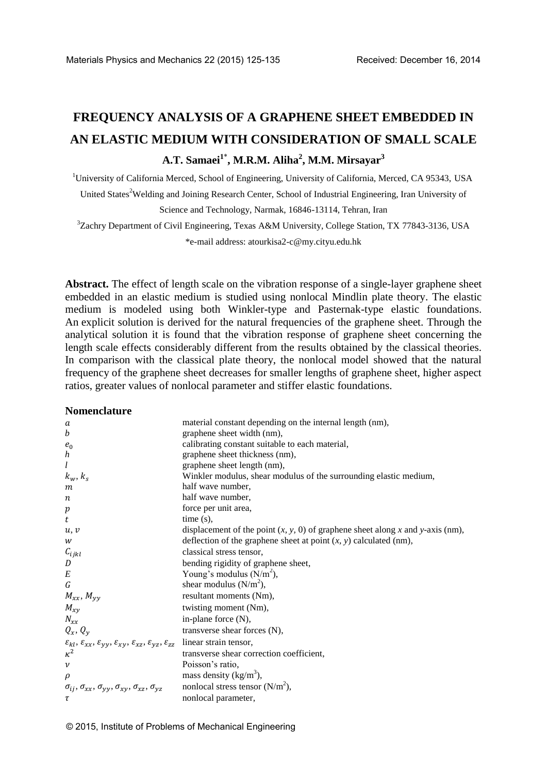# **FREQUENCY ANALYSIS OF A GRAPHENE SHEET EMBEDDED IN AN ELASTIC MEDIUM WITH CONSIDERATION OF SMALL SCALE A.T. Samaei<sup>1</sup>**\* **, M.R.M. Aliha<sup>2</sup> , M.M. Mirsayar<sup>3</sup>**

<sup>1</sup>University of California Merced, School of Engineering, University of California, Merced, CA 95343, USA United States<sup>2</sup>Welding and Joining Research Center, School of Industrial Engineering, Iran University of Science and Technology, Narmak, 16846-13114, Tehran, Iran

<sup>3</sup>Zachry Department of Civil Engineering, Texas A&M University, College Station, TX 77843-3136, USA \*e-mail address: atourkisa2-c@my.cityu.edu.hk

**Abstract.** The effect of length scale on the vibration response of a single-layer graphene sheet embedded in an elastic medium is studied using nonlocal Mindlin plate theory. The elastic medium is modeled using both Winkler-type and Pasternak-type elastic foundations. An explicit solution is derived for the natural frequencies of the graphene sheet. Through the analytical solution it is found that the vibration response of graphene sheet concerning the length scale effects considerably different from the results obtained by the classical theories. In comparison with the classical plate theory, the nonlocal model showed that the natural frequency of the graphene sheet decreases for smaller lengths of graphene sheet, higher aspect ratios, greater values of nonlocal parameter and stiffer elastic foundations.

#### **Nomenclature**

| a                                                                                                                                          | material constant depending on the internal length (nm),                         |
|--------------------------------------------------------------------------------------------------------------------------------------------|----------------------------------------------------------------------------------|
| $\boldsymbol{b}$                                                                                                                           | graphene sheet width (nm),                                                       |
| $e_0$                                                                                                                                      | calibrating constant suitable to each material,                                  |
| $\boldsymbol{h}$                                                                                                                           | graphene sheet thickness (nm),                                                   |
| l                                                                                                                                          | graphene sheet length (nm),                                                      |
| $k_w, k_s$                                                                                                                                 | Winkler modulus, shear modulus of the surrounding elastic medium,                |
| m                                                                                                                                          | half wave number,                                                                |
| $\boldsymbol{n}$                                                                                                                           | half wave number,                                                                |
| p                                                                                                                                          | force per unit area,                                                             |
| t                                                                                                                                          | $time(s)$ ,                                                                      |
| u, v                                                                                                                                       | displacement of the point $(x, y, 0)$ of graphene sheet along x and y-axis (nm), |
| W                                                                                                                                          | deflection of the graphene sheet at point $(x, y)$ calculated (nm),              |
| $C_{ijkl}$                                                                                                                                 | classical stress tensor,                                                         |
| D                                                                                                                                          | bending rigidity of graphene sheet,                                              |
| $\cal E$                                                                                                                                   | Young's modulus $(N/m2)$ ,                                                       |
| $\boldsymbol{G}$                                                                                                                           | shear modulus $(N/m^2)$ ,                                                        |
| $M_{xx}$ , $M_{yy}$                                                                                                                        | resultant moments (Nm),                                                          |
| $M_{xy}$                                                                                                                                   | twisting moment (Nm),                                                            |
| $N_{xx}$                                                                                                                                   | in-plane force $(N)$ ,                                                           |
| $Q_x, Q_y$                                                                                                                                 | transverse shear forces (N),                                                     |
| $\varepsilon_{kl},\, \varepsilon_{xx},\, \varepsilon_{yy},\, \varepsilon_{xy},\, \varepsilon_{xz},\, \varepsilon_{yz},\, \varepsilon_{zz}$ | linear strain tensor,                                                            |
| $\kappa^2$                                                                                                                                 | transverse shear correction coefficient,                                         |
| $\boldsymbol{\nu}$                                                                                                                         | Poisson's ratio,                                                                 |
| $\rho$                                                                                                                                     | mass density $(kg/m3)$ ,                                                         |
| $\sigma_{ij}, \sigma_{xx}, \sigma_{yy}, \sigma_{xy}, \sigma_{xz}, \sigma_{yz}$                                                             | nonlocal stress tensor $(N/m^2)$ ,                                               |
| τ                                                                                                                                          | nonlocal parameter,                                                              |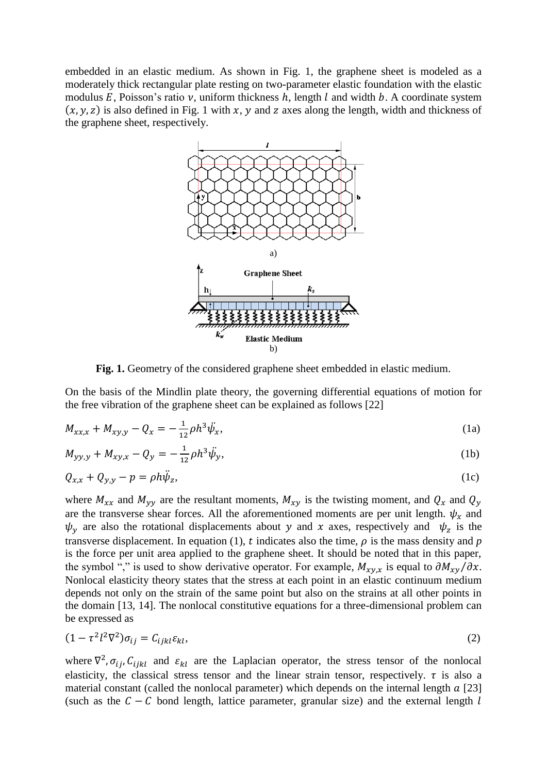embedded in an elastic medium. As shown in Fig. 1, the graphene sheet is modeled as a moderately thick rectangular plate resting on two-parameter elastic foundation with the elastic modulus E. Poisson's ratio  $\nu$ , uniform thickness h, length l and width b. A coordinate system  $(x, y, z)$  is also defined in Fig. 1 with x, y and z axes along the length, width and thickness of the graphene sheet, respectively.



**Fig. 1.** Geometry of the considered graphene sheet embedded in elastic medium.

On the basis of the Mindlin plate theory, the governing differential equations of motion for the free vibration of the graphene sheet can be explained as follows [22]

$$
M_{xx,x} + M_{xy,y} - Q_x = -\frac{1}{12}\rho h^3 \ddot{\psi}_x, \tag{1a}
$$

$$
M_{yy,y} + M_{xy,x} - Q_y = -\frac{1}{12}\rho h^3 \ddot{\psi}_y,\tag{1b}
$$

$$
Q_{x,x} + Q_{y,y} - p = \rho h \ddot{\psi}_z,\tag{1c}
$$

where  $M_{xx}$  and  $M_{yy}$  are the resultant moments,  $M_{xy}$  is the twisting moment, and  $Q_x$  and  $Q_y$ are the transverse shear forces. All the aforementioned moments are per unit length.  $\psi_x$  and  $\psi_{\nu}$  are also the rotational displacements about y and x axes, respectively and  $\psi_{z}$  is the transverse displacement. In equation (1), t indicates also the time,  $\rho$  is the mass density and  $p$ is the force per unit area applied to the graphene sheet. It should be noted that in this paper, the symbol "," is used to show derivative operator. For example,  $M_{\chi v}$  is equal to  $\partial M_{\chi v}/\partial x$ . Nonlocal elasticity theory states that the stress at each point in an elastic continuum medium depends not only on the strain of the same point but also on the strains at all other points in the domain [13, 14]. The nonlocal constitutive equations for a three-dimensional problem can be expressed as

$$
(1 - \tau^2 l^2 \nabla^2) \sigma_{ij} = C_{ijkl} \varepsilon_{kl},\tag{2}
$$

where  $\nabla^2$ ,  $\sigma_{ij}$ ,  $C_{ijkl}$  and  $\varepsilon_{kl}$  are the Laplacian operator, the stress tensor of the nonlocal elasticity, the classical stress tensor and the linear strain tensor, respectively.  $\tau$  is also a material constant (called the nonlocal parameter) which depends on the internal length  $a$  [23] (such as the  $C - C$  bond length, lattice parameter, granular size) and the external length l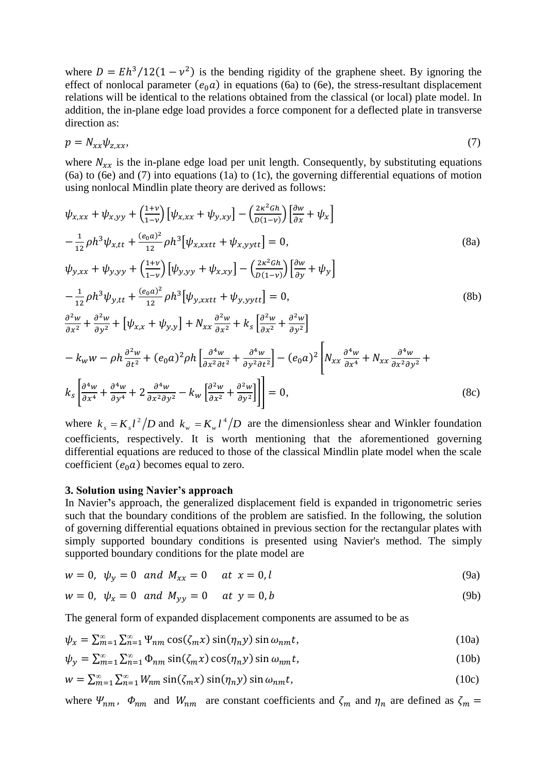where  $D = Eh^3/12(1 - v^2)$  is the bending rigidity of the graphene sheet. By ignoring the effect of nonlocal parameter  $(e_0 a)$  in equations (6a) to (6e), the stress-resultant displacement relations will be identical to the relations obtained from the classical (or local) plate model. In addition, the in-plane edge load provides a force component for a deflected plate in transverse direction as:

$$
p = N_{xx}\psi_{z,xx},\tag{7}
$$

where  $N_{xx}$  is the in-plane edge load per unit length. Consequently, by substituting equations (6a) to (6e) and (7) into equations (1a) to (1c), the governing differential equations of motion using nonlocal Mindlin plate theory are derived as follows:

$$
\psi_{x,xx} + \psi_{x,yy} + \left(\frac{1+\nu}{1-\nu}\right) \left[\psi_{x,xx} + \psi_{y,xy}\right] - \left(\frac{2\kappa^2 G h}{D(1-\nu)}\right) \left[\frac{\partial w}{\partial x} + \psi_x\right] \n- \frac{1}{12} \rho h^3 \psi_{x,tt} + \frac{(e_0 a)^2}{12} \rho h^3 \left[\psi_{x,xxtt} + \psi_{x,yytt}\right] = 0, \tag{8a}
$$
\n
$$
\psi_{y,xx} + \psi_{y,yy} + \left(\frac{1+\nu}{1-\nu}\right) \left[\psi_{y,yy} + \psi_{x,xy}\right] - \left(\frac{2\kappa^2 G h}{D(1-\nu)}\right) \left[\frac{\partial w}{\partial y} + \psi_y\right] \n- \frac{1}{12} \rho h^3 \psi_{y,tt} + \frac{(e_0 a)^2}{12} \rho h^3 \left[\psi_{y,xxtt} + \psi_{y,yytt}\right] = 0, \tag{8b}
$$
\n
$$
\frac{\partial^2 w}{\partial x^2} + \frac{\partial^2 w}{\partial y^2} + \left[\psi_{x,x} + \psi_{y,y}\right] + N_{xx} \frac{\partial^2 w}{\partial x^2} + k_s \left[\frac{\partial^2 w}{\partial x^2} + \frac{\partial^2 w}{\partial y^2}\right] \n- k_w w - \rho h \frac{\partial^2 w}{\partial t^2} + (e_0 a)^2 \rho h \left[\frac{\partial^4 w}{\partial x^2 \partial t^2} + \frac{\partial^4 w}{\partial y^2 \partial t^2}\right] - (e_0 a)^2 \left[N_{xx} \frac{\partial^4 w}{\partial x^4} + N_{xx} \frac{\partial^4 w}{\partial x^2 \partial y^2} + k_s \left[\frac{\partial^4 w}{\partial x^4} + \frac{\partial^4 w}{\partial y^4} + 2 \frac{\partial^4 w}{\partial x^2 \partial y^2} - k_w \left[\frac{\partial^2 w}{\partial x^2} + \frac{\partial^2 w}{\partial y^2}\right]\right]\right] = 0, \tag{8c}
$$

where  $k_s = K_s l^2$  $k_{s} = K_{s} l^{2} / D$  and  $k_{w} = K_{w} l^{4}$  $k_w = K_w l^4 / D$  are the dimensionless shear and Winkler foundation coefficients, respectively. It is worth mentioning that the aforementioned governing differential equations are reduced to those of the classical Mindlin plate model when the scale coefficient  $(e_0 a)$  becomes equal to zero.

#### **3. Solution using Navier's approach**

In Navier**'**s approach, the generalized displacement field is expanded in trigonometric series such that the boundary conditions of the problem are satisfied. In the following, the solution of governing differential equations obtained in previous section for the rectangular plates with simply supported boundary conditions is presented using Navier's method. The simply supported boundary conditions for the plate model are

$$
w = 0, \psi_{y} = 0 \text{ and } M_{xx} = 0 \text{ at } x = 0, l
$$
 (9a)

$$
w = 0, \psi_x = 0 \text{ and } M_{yy} = 0 \text{ at } y = 0, b
$$
 (9b)

The general form of expanded displacement components are assumed to be as

$$
\psi_x = \sum_{m=1}^{\infty} \sum_{n=1}^{\infty} \Psi_{nm} \cos(\zeta_m x) \sin(\eta_n y) \sin \omega_{nm} t, \qquad (10a)
$$

$$
\psi_{y} = \sum_{m=1}^{\infty} \sum_{n=1}^{\infty} \Phi_{nm} \sin(\zeta_{m} x) \cos(\eta_{n} y) \sin \omega_{nm} t, \tag{10b}
$$

$$
w = \sum_{m=1}^{\infty} \sum_{n=1}^{\infty} W_{nm} \sin(\zeta_m x) \sin(\eta_n y) \sin \omega_{nm} t,
$$
\n(10c)

where  $\Psi_{nm}$ ,  $\Phi_{nm}$  and  $W_{nm}$  are constant coefficients and  $\zeta_m$  and  $\eta_n$  are defined as  $\zeta_m =$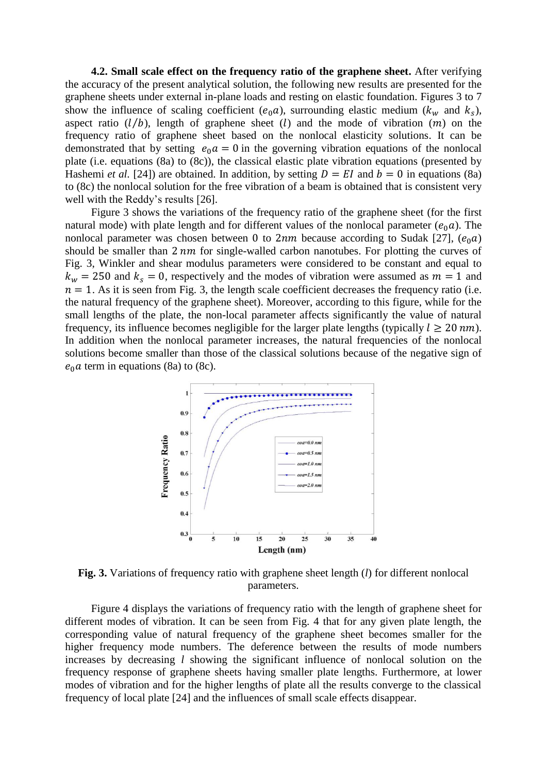**4.2. Small scale effect on the frequency ratio of the graphene sheet.** After verifying the accuracy of the present analytical solution, the following new results are presented for the graphene sheets under external in-plane loads and resting on elastic foundation. Figures 3 to 7 show the influence of scaling coefficient ( $e_0a$ ), surrounding elastic medium ( $k_w$  and  $k_s$ ), aspect ratio  $(l/b)$ , length of graphene sheet (*l*) and the mode of vibration  $(m)$  on the frequency ratio of graphene sheet based on the nonlocal elasticity solutions. It can be demonstrated that by setting  $e_0 a = 0$  in the governing vibration equations of the nonlocal plate (i.e. equations (8a) to (8c)), the classical elastic plate vibration equations (presented by Hashemi *et al.* [24]) are obtained. In addition, by setting  $D = EI$  and  $b = 0$  in equations (8a) to (8c) the nonlocal solution for the free vibration of a beam is obtained that is consistent very well with the Reddy's results [26].

Figure 3 shows the variations of the frequency ratio of the graphene sheet (for the first natural mode) with plate length and for different values of the nonlocal parameter ( $e_0 a$ ). The nonlocal parameter was chosen between 0 to  $2nm$  because according to Sudak [27],  $(e_0 a)$ should be smaller than  $2 \, nm$  for single-walled carbon nanotubes. For plotting the curves of Fig. 3, Winkler and shear modulus parameters were considered to be constant and equal to  $k_w = 250$  and  $k_s = 0$ , respectively and the modes of vibration were assumed as  $m = 1$  and  $n = 1$ . As it is seen from Fig. 3, the length scale coefficient decreases the frequency ratio (i.e. the natural frequency of the graphene sheet). Moreover, according to this figure, while for the small lengths of the plate, the non-local parameter affects significantly the value of natural frequency, its influence becomes negligible for the larger plate lengths (typically  $l \ge 20 \ nm$ ). In addition when the nonlocal parameter increases, the natural frequencies of the nonlocal solutions become smaller than those of the classical solutions because of the negative sign of  $e_0 a$  term in equations (8a) to (8c).



**Fig. 3.** Variations of frequency ratio with graphene sheet length (*l*) for different nonlocal parameters.

Figure 4 displays the variations of frequency ratio with the length of graphene sheet for different modes of vibration. It can be seen from Fig. 4 that for any given plate length, the corresponding value of natural frequency of the graphene sheet becomes smaller for the higher frequency mode numbers. The deference between the results of mode numbers increases by decreasing *l* showing the significant influence of nonlocal solution on the frequency response of graphene sheets having smaller plate lengths. Furthermore, at lower modes of vibration and for the higher lengths of plate all the results converge to the classical frequency of local plate [24] and the influences of small scale effects disappear.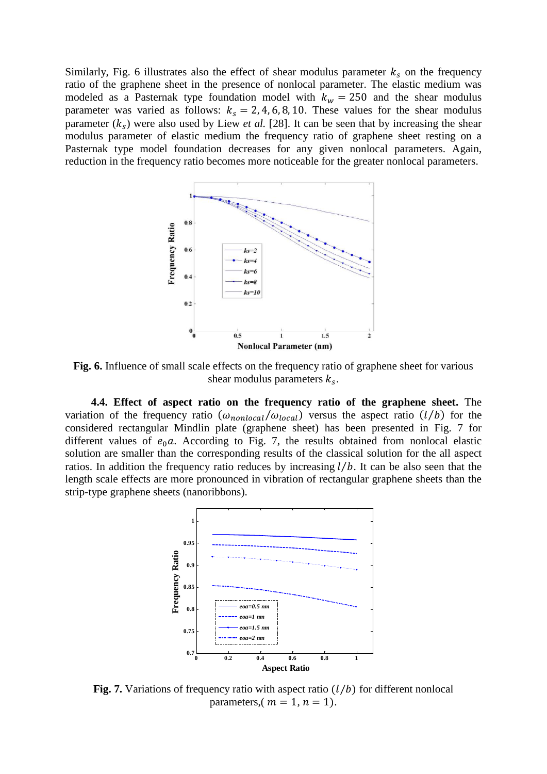Similarly, Fig. 6 illustrates also the effect of shear modulus parameter  $k_s$  on the frequency ratio of the graphene sheet in the presence of nonlocal parameter. The elastic medium was modeled as a Pasternak type foundation model with  $k_w = 250$  and the shear modulus parameter was varied as follows:  $k_s = 2, 4, 6, 8, 10$ . These values for the shear modulus parameter  $(k<sub>s</sub>)$  were also used by Liew *et al.* [28]. It can be seen that by increasing the shear modulus parameter of elastic medium the frequency ratio of graphene sheet resting on a Pasternak type model foundation decreases for any given nonlocal parameters. Again, reduction in the frequency ratio becomes more noticeable for the greater nonlocal parameters.



**Fig. 6.** Influence of small scale effects on the frequency ratio of graphene sheet for various shear modulus parameters  $k_s$ .

**4.4. Effect of aspect ratio on the frequency ratio of the graphene sheet.** The variation of the frequency ratio  $(\omega_{nonlocal}/\omega_{local})$  versus the aspect ratio  $(l/b)$  for the considered rectangular Mindlin plate (graphene sheet) has been presented in Fig. 7 for different values of  $e_0a$ . According to Fig. 7, the results obtained from nonlocal elastic solution are smaller than the corresponding results of the classical solution for the all aspect ratios. In addition the frequency ratio reduces by increasing  $l/b$ . It can be also seen that the length scale effects are more pronounced in vibration of rectangular graphene sheets than the strip-type graphene sheets (nanoribbons).



**Fig. 7.** Variations of frequency ratio with aspect ratio  $(l/b)$  for different nonlocal parameters,  $(m = 1, n = 1)$ .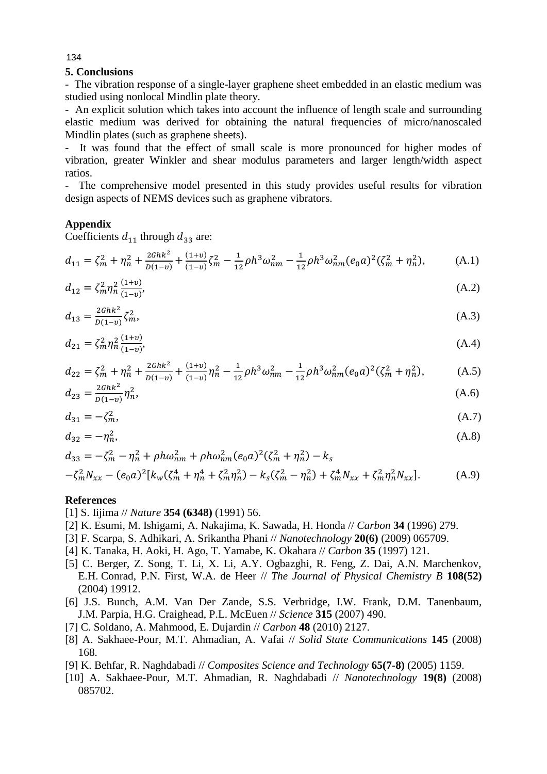# **5. Conclusions**

- The vibration response of a single-layer graphene sheet embedded in an elastic medium was studied using nonlocal Mindlin plate theory.

- An explicit solution which takes into account the influence of length scale and surrounding elastic medium was derived for obtaining the natural frequencies of micro/nanoscaled Mindlin plates (such as graphene sheets).

- It was found that the effect of small scale is more pronounced for higher modes of vibration, greater Winkler and shear modulus parameters and larger length/width aspect ratios.

- The comprehensive model presented in this study provides useful results for vibration design aspects of NEMS devices such as graphene vibrators.

## **Appendix**

Coefficients  $d_{11}$  through  $d_{33}$  are:

$$
d_{11} = \zeta_m^2 + \eta_n^2 + \frac{2Ghk^2}{D(1-\nu)} + \frac{(1+\nu)}{(1-\nu)}\zeta_m^2 - \frac{1}{12}\rho h^3 \omega_{nm}^2 - \frac{1}{12}\rho h^3 \omega_{nm}^2 (e_0 a)^2 (\zeta_m^2 + \eta_n^2), \tag{A.1}
$$

$$
d_{12} = \zeta_m^2 \eta_n^2 \frac{(1+v)}{(1-v)},\tag{A.2}
$$

$$
d_{13} = \frac{2Ghk^2}{D(1-v)} \zeta_m^2,\tag{A.3}
$$

$$
d_{21} = \zeta_m^2 \eta_n^2 \frac{(1+v)}{(1-v)},\tag{A.4}
$$

$$
d_{22} = \zeta_m^2 + \eta_n^2 + \frac{2Ghk^2}{D(1-\nu)} + \frac{(1+\nu)}{(1-\nu)}\eta_n^2 - \frac{1}{12}\rho h^3 \omega_{nm}^2 - \frac{1}{12}\rho h^3 \omega_{nm}^2 (e_0 a)^2 (\zeta_m^2 + \eta_n^2),
$$
 (A.5)

$$
d_{23} = \frac{2G\hbar k^2}{D(1-v)} \eta_n^2, \tag{A.6}
$$

$$
d_{31} = -\zeta_m^2,\tag{A.7}
$$

$$
d_{32} = -\eta_n^2,\tag{A.8}
$$

$$
d_{33} = -\zeta_m^2 - \eta_n^2 + \rho h \omega_{nm}^2 + \rho h \omega_{nm}^2 (e_0 a)^2 (\zeta_m^2 + \eta_n^2) - k_s
$$
  

$$
- \zeta_m^2 N_{xx} - (e_0 a)^2 [k_w (\zeta_m^4 + \eta_n^4 + \zeta_m^2 \eta_n^2) - k_s (\zeta_m^2 - \eta_n^2) + \zeta_m^4 N_{xx} + \zeta_m^2 \eta_n^2 N_{xx}].
$$
 (A.9)

### **References**

- [1] S. Iijima // *Nature* **354 (6348)** (1991) 56.
- [2] K. [Esumi,](http://www.scopus.com/search/submit/author.url?author=Esumi%2c+K.&origin=resultslist&authorId=7102175873&src=s) M. [Ishigami,](http://www.scopus.com/search/submit/author.url?author=Ishigami%2c+M.&origin=resultslist&authorId=13612462200&src=s) A. [Nakajima,](http://www.scopus.com/search/submit/author.url?author=Nakajima%2c+A.&origin=resultslist&authorId=7202677391&src=s) K. [Sawada,](http://www.scopus.com/search/submit/author.url?author=Sawada%2c+K.&origin=resultslist&authorId=7402551794&src=s) H. [Honda](http://www.scopus.com/search/submit/author.url?author=Honda%2c+H.&origin=resultslist&authorId=7402102992&src=s) // *Carbon* **34** (1996) 279.
- [3] F. Scarpa, S. Adhikari, A. Srikantha Phani // *Nanotechnology* **20(6)** (2009) 065709.
- [4] K. [Tanaka,](http://www.scopus.com/search/submit/author.url?author=Tanaka%2c+K.&origin=resultslist&authorId=7406936489&src=s) H. [Aoki,](http://www.scopus.com/search/submit/author.url?author=Aoki%2c+H.&origin=resultslist&authorId=7402574575&src=s) H. [Ago,](http://www.scopus.com/search/submit/author.url?author=Ago%2c+H.&origin=resultslist&authorId=7006525631&src=s) T. [Yamabe,](http://www.scopus.com/search/submit/author.url?author=Yamabe%2c+T.&origin=resultslist&authorId=35414505500&src=s) K. [Okahara](http://www.scopus.com/search/submit/author.url?author=Okahara%2c+K.&origin=resultslist&authorId=7003546418&src=s) // *[Carbon](http://www.scopus.com/source/sourceInfo.url?sourceId=25806&origin=resultslist)* **35** (1997) 121.
- [5] C. Berger, Z. Song, T. Li, X. Li, A.Y. Ogbazghi, R. Feng, Z. Dai, A.N. Marchenkov, E.H. Conrad, P.N. First, W.A. de Heer // *The [Journal of Physical Chemistry B](http://www.scopus.com/source/sourceInfo.url?sourceId=26970&origin=resultslist)* **108(52)** (2004) 19912.
- [6] J.S. [Bunch,](http://www.scopus.com/search/submit/author.url?author=Bunch%2c+J.S.&origin=resultslist&authorId=7005819592&src=s) A.M. [Van Der Zande,](http://www.scopus.com/search/submit/author.url?author=Van+Der+Zande%2c+A.M.&origin=resultslist&authorId=15836160200&src=s) S.S. [Verbridge,](http://www.scopus.com/search/submit/author.url?author=Verbridge%2c+S.S.&origin=resultslist&authorId=6506725414&src=s) I.W. [Frank,](http://www.scopus.com/search/submit/author.url?author=Frank%2c+I.W.&origin=resultslist&authorId=15834834900&src=s) D.M. [Tanenbaum,](http://www.scopus.com/search/submit/author.url?author=Tanenbaum%2c+D.M.&origin=resultslist&authorId=6603934206&src=s) J.M. [Parpia,](http://www.scopus.com/search/submit/author.url?author=Parpia%2c+J.M.&origin=resultslist&authorId=7006364329&src=s) H.G. [Craighead,](http://www.scopus.com/search/submit/author.url?author=Craighead%2c+H.G.&origin=resultslist&authorId=7006812521&src=s) P.L. [McEuen](http://www.scopus.com/search/submit/author.url?author=McEuen%2c+P.L.&origin=resultslist&authorId=7006583549&src=s) // *[Science](http://www.scopus.com/source/sourceInfo.url?sourceId=23571&origin=resultslist)* **315** (2007) 490.
- [7] C. [Soldano,](http://www.scopus.com/search/submit/author.url?author=Soldano%2c+C.&origin=resultslist&authorId=12797350700&src=s) A. [Mahmood,](http://www.scopus.com/search/submit/author.url?author=Mahmood%2c+A.&origin=resultslist&authorId=35847606200&src=s) E. [Dujardin](http://www.scopus.com/search/submit/author.url?author=Dujardin%2c+E.&origin=resultslist&authorId=35728125400&src=s) // *[Carbon](http://www.scopus.com/source/sourceInfo.url?sourceId=25806&origin=resultslist)* **48** (2010) 2127.
- [8] A. Sakhaee-Pour, M.T. [Ahmadian,](http://www.scopus.com/search/submit/author.url?author=Ahmadian%2c+M.T.&origin=resultslist&authorId=8403389300&src=s) A. [Vafai](http://www.scopus.com/search/submit/author.url?author=Vafai%2c+A.&origin=resultslist&authorId=7006185877&src=s) // *Solid State Communications* **145** (2008) 168.
- [9] K. [Behfar,](http://www.scopus.com/search/submit/author.url?author=Behfar%2c+K.&origin=resultslist&authorId=9433491700&src=s) R. [Naghdabadi](http://www.scopus.com/search/submit/author.url?author=Naghdabadi%2c+R.&origin=resultslist&authorId=8563161500&src=s) // *Composites Science and Technology* **65(7-8)** (2005) 1159.
- [10] A. [Sakhaee-Pour,](http://www.scopus.com/search/submit/author.url?author=Sakhaee-Pour%2c+A.&origin=resultslist&authorId=23028772100&src=s) M.T. [Ahmadian,](http://www.scopus.com/search/submit/author.url?author=Ahmadian%2c+M.T.&origin=resultslist&authorId=8403389300&src=s) R. [Naghdabadi](http://www.scopus.com/search/submit/author.url?author=Naghdabadi%2c+R.&origin=resultslist&authorId=8563161500&src=s) // *Nanotechnology* **19(8)** (2008) 085702.

134